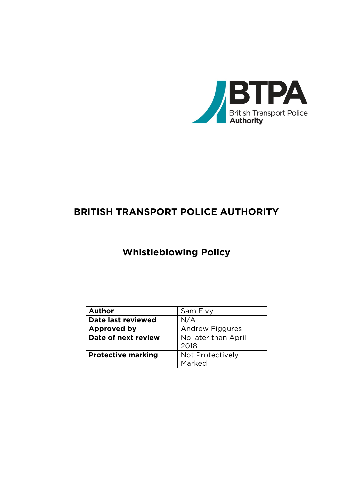

## **BRITISH TRANSPORT POLICE AUTHORITY**

# **Whistleblowing Policy**

| <b>Author</b>             | Sam Elvy               |
|---------------------------|------------------------|
| Date last reviewed        | N/A                    |
| <b>Approved by</b>        | <b>Andrew Figgures</b> |
| Date of next review       | No later than April    |
|                           | 2018                   |
| <b>Protective marking</b> | Not Protectively       |
|                           | Marked                 |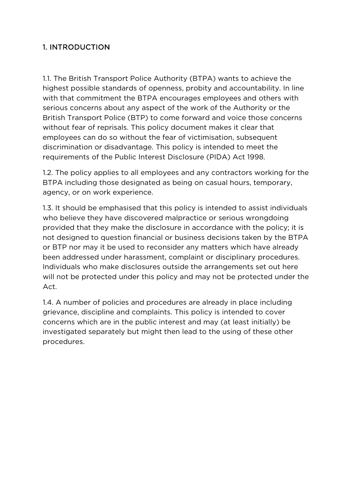#### 1. INTRODUCTION

1.1. The British Transport Police Authority (BTPA) wants to achieve the highest possible standards of openness, probity and accountability. In line with that commitment the BTPA encourages employees and others with serious concerns about any aspect of the work of the Authority or the British Transport Police (BTP) to come forward and voice those concerns without fear of reprisals. This policy document makes it clear that employees can do so without the fear of victimisation, subsequent discrimination or disadvantage. This policy is intended to meet the requirements of the Public Interest Disclosure (PIDA) Act 1998.

1.2. The policy applies to all employees and any contractors working for the BTPA including those designated as being on casual hours, temporary, agency, or on work experience.

1.3. It should be emphasised that this policy is intended to assist individuals who believe they have discovered malpractice or serious wrongdoing provided that they make the disclosure in accordance with the policy; it is not designed to question financial or business decisions taken by the BTPA or BTP nor may it be used to reconsider any matters which have already been addressed under harassment, complaint or disciplinary procedures. Individuals who make disclosures outside the arrangements set out here will not be protected under this policy and may not be protected under the Act.

1.4. A number of policies and procedures are already in place including grievance, discipline and complaints. This policy is intended to cover concerns which are in the public interest and may (at least initially) be investigated separately but might then lead to the using of these other procedures.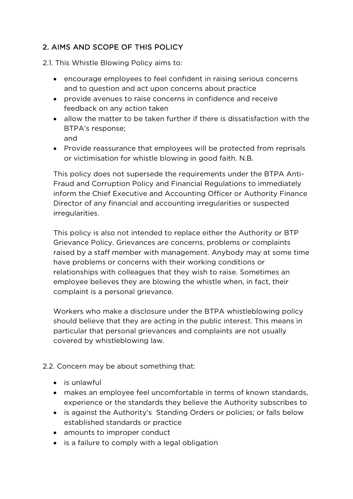#### 2. AIMS AND SCOPE OF THIS POLICY

2.1. This Whistle Blowing Policy aims to:

- encourage employees to feel confident in raising serious concerns and to question and act upon concerns about practice
- provide avenues to raise concerns in confidence and receive feedback on any action taken
- allow the matter to be taken further if there is dissatisfaction with the BTPA's response; and
- Provide reassurance that employees will be protected from reprisals or victimisation for whistle blowing in good faith. N.B.

This policy does not supersede the requirements under the BTPA Anti-Fraud and Corruption Policy and Financial Regulations to immediately inform the Chief Executive and Accounting Officer or Authority Finance Director of any financial and accounting irregularities or suspected irregularities.

This policy is also not intended to replace either the Authority or BTP Grievance Policy. Grievances are concerns, problems or complaints raised by a staff member with management. Anybody may at some time have problems or concerns with their working conditions or relationships with colleagues that they wish to raise. Sometimes an employee believes they are blowing the whistle when, in fact, their complaint is a personal grievance.

Workers who make a disclosure under the BTPA whistleblowing policy should believe that they are acting in the public interest. This means in particular that personal grievances and complaints are not usually covered by whistleblowing law.

2.2. Concern may be about something that:

- is unlawful
- makes an employee feel uncomfortable in terms of known standards, experience or the standards they believe the Authority subscribes to
- is against the Authority's Standing Orders or policies; or falls below established standards or practice
- amounts to improper conduct
- is a failure to comply with a legal obligation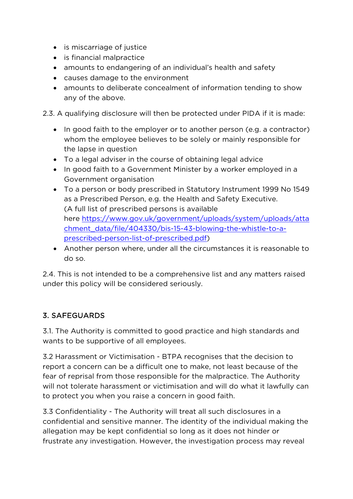- is miscarriage of justice
- is financial malpractice
- amounts to endangering of an individual's health and safety
- causes damage to the environment
- amounts to deliberate concealment of information tending to show any of the above.

2.3. A qualifying disclosure will then be protected under PIDA if it is made:

- In good faith to the employer or to another person (e.g. a contractor) whom the employee believes to be solely or mainly responsible for the lapse in question
- To a legal adviser in the course of obtaining legal advice
- In good faith to a Government Minister by a worker employed in a Government organisation
- To a person or body prescribed in Statutory Instrument 1999 No 1549 as a Prescribed Person, e.g. the Health and Safety Executive. (A full list of prescribed persons is available here [https://www.gov.uk/government/uploads/system/uploads/atta](https://www.gov.uk/government/uploads/system/uploads/attachment_data/file/404330/bis-15-43-blowing-the-whistle-to-a-prescribed-person-list-of-prescribed.pdf) [chment\\_data/file/404330/bis-15-43-blowing-the-whistle-to-a](https://www.gov.uk/government/uploads/system/uploads/attachment_data/file/404330/bis-15-43-blowing-the-whistle-to-a-prescribed-person-list-of-prescribed.pdf)[prescribed-person-list-of-prescribed.pdf\)](https://www.gov.uk/government/uploads/system/uploads/attachment_data/file/404330/bis-15-43-blowing-the-whistle-to-a-prescribed-person-list-of-prescribed.pdf)
- Another person where, under all the circumstances it is reasonable to do so.

2.4. This is not intended to be a comprehensive list and any matters raised under this policy will be considered seriously.

### 3. SAFEGUARDS

3.1. The Authority is committed to good practice and high standards and wants to be supportive of all employees.

3.2 Harassment or Victimisation - BTPA recognises that the decision to report a concern can be a difficult one to make, not least because of the fear of reprisal from those responsible for the malpractice. The Authority will not tolerate harassment or victimisation and will do what it lawfully can to protect you when you raise a concern in good faith.

3.3 Confidentiality - The Authority will treat all such disclosures in a confidential and sensitive manner. The identity of the individual making the allegation may be kept confidential so long as it does not hinder or frustrate any investigation. However, the investigation process may reveal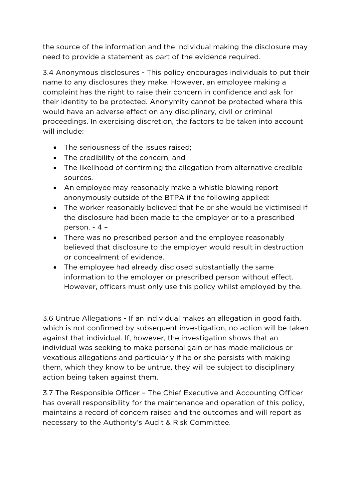the source of the information and the individual making the disclosure may need to provide a statement as part of the evidence required.

3.4 Anonymous disclosures - This policy encourages individuals to put their name to any disclosures they make. However, an employee making a complaint has the right to raise their concern in confidence and ask for their identity to be protected. Anonymity cannot be protected where this would have an adverse effect on any disciplinary, civil or criminal proceedings. In exercising discretion, the factors to be taken into account will include:

- The seriousness of the issues raised;
- The credibility of the concern; and
- The likelihood of confirming the allegation from alternative credible sources.
- An employee may reasonably make a whistle blowing report anonymously outside of the BTPA if the following applied:
- The worker reasonably believed that he or she would be victimised if the disclosure had been made to the employer or to a prescribed person. - 4 –
- There was no prescribed person and the employee reasonably believed that disclosure to the employer would result in destruction or concealment of evidence.
- The employee had already disclosed substantially the same information to the employer or prescribed person without effect. However, officers must only use this policy whilst employed by the.

3.6 Untrue Allegations - If an individual makes an allegation in good faith, which is not confirmed by subsequent investigation, no action will be taken against that individual. If, however, the investigation shows that an individual was seeking to make personal gain or has made malicious or vexatious allegations and particularly if he or she persists with making them, which they know to be untrue, they will be subject to disciplinary action being taken against them.

3.7 The Responsible Officer – The Chief Executive and Accounting Officer has overall responsibility for the maintenance and operation of this policy, maintains a record of concern raised and the outcomes and will report as necessary to the Authority's Audit & Risk Committee.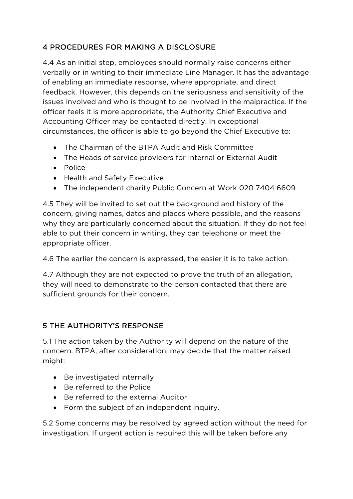### 4 PROCEDURES FOR MAKING A DISCLOSURE

4.4 As an initial step, employees should normally raise concerns either verbally or in writing to their immediate Line Manager. It has the advantage of enabling an immediate response, where appropriate, and direct feedback. However, this depends on the seriousness and sensitivity of the issues involved and who is thought to be involved in the malpractice. If the officer feels it is more appropriate, the Authority Chief Executive and Accounting Officer may be contacted directly. In exceptional circumstances, the officer is able to go beyond the Chief Executive to:

- The Chairman of the BTPA Audit and Risk Committee
- The Heads of service providers for Internal or External Audit
- Police
- Health and Safety Executive
- The independent charity Public Concern at Work 020 7404 6609

4.5 They will be invited to set out the background and history of the concern, giving names, dates and places where possible, and the reasons why they are particularly concerned about the situation. If they do not feel able to put their concern in writing, they can telephone or meet the appropriate officer.

4.6 The earlier the concern is expressed, the easier it is to take action.

4.7 Although they are not expected to prove the truth of an allegation, they will need to demonstrate to the person contacted that there are sufficient grounds for their concern.

#### 5 THE AUTHORITY'S RESPONSE

5.1 The action taken by the Authority will depend on the nature of the concern. BTPA, after consideration, may decide that the matter raised might:

- Be investigated internally
- Be referred to the Police
- Be referred to the external Auditor
- Form the subject of an independent inquiry.

5.2 Some concerns may be resolved by agreed action without the need for investigation. If urgent action is required this will be taken before any